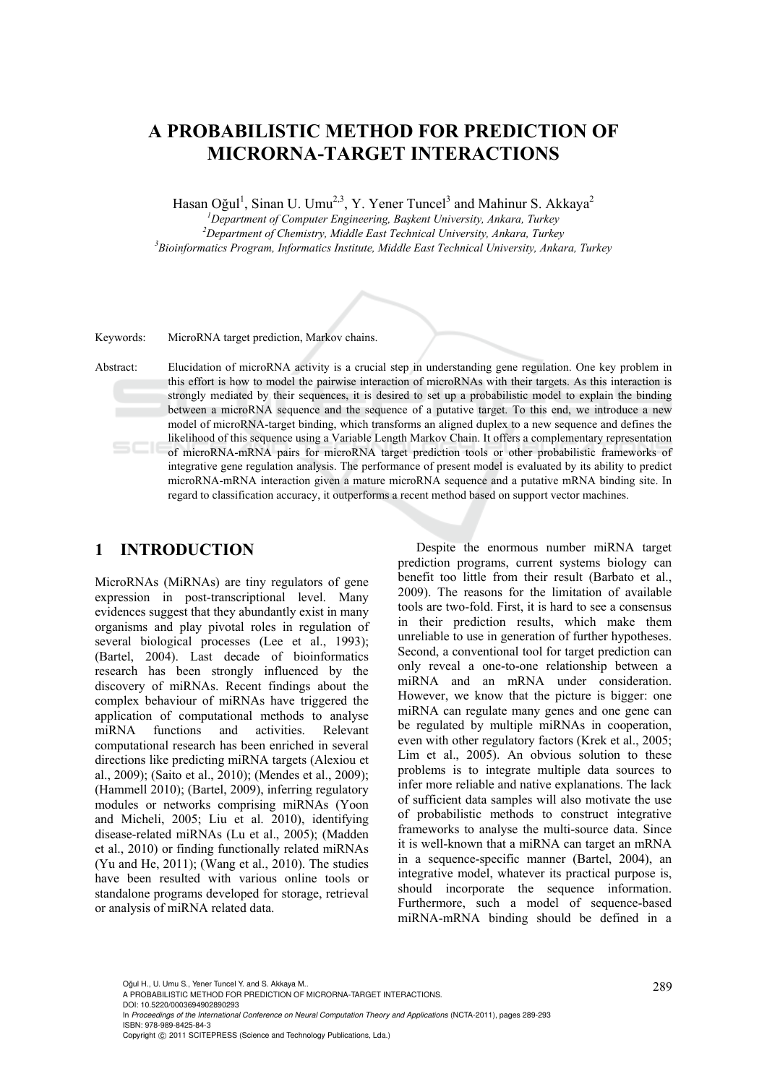# **A PROBABILISTIC METHOD FOR PREDICTION OF MICRORNA-TARGET INTERACTIONS**

Hasan Oğul<sup>1</sup>, Sinan U. Umu<sup>2,3</sup>, Y. Yener Tuncel<sup>3</sup> and Mahinur S. Akkaya<sup>2</sup>

*1 Department of Computer Engineering, Başkent University, Ankara, Turkey 2* <sup>2</sup>Department of Chemistry, Middle East Technical University, Ankara, Turkey *Bioinformatics Program, Informatics Institute, Middle East Technical University, Ankara, Turkey* 

Keywords: MicroRNA target prediction, Markov chains.

Abstract: Elucidation of microRNA activity is a crucial step in understanding gene regulation. One key problem in this effort is how to model the pairwise interaction of microRNAs with their targets. As this interaction is strongly mediated by their sequences, it is desired to set up a probabilistic model to explain the binding between a microRNA sequence and the sequence of a putative target. To this end, we introduce a new model of microRNA-target binding, which transforms an aligned duplex to a new sequence and defines the likelihood of this sequence using a Variable Length Markov Chain. It offers a complementary representation of microRNA-mRNA pairs for microRNA target prediction tools or other probabilistic frameworks of integrative gene regulation analysis. The performance of present model is evaluated by its ability to predict microRNA-mRNA interaction given a mature microRNA sequence and a putative mRNA binding site. In regard to classification accuracy, it outperforms a recent method based on support vector machines.

## **1 INTRODUCTION**

MicroRNAs (MiRNAs) are tiny regulators of gene expression in post-transcriptional level. Many evidences suggest that they abundantly exist in many organisms and play pivotal roles in regulation of several biological processes (Lee et al., 1993); (Bartel, 2004). Last decade of bioinformatics research has been strongly influenced by the discovery of miRNAs. Recent findings about the complex behaviour of miRNAs have triggered the application of computational methods to analyse miRNA functions and activities. Relevant computational research has been enriched in several directions like predicting miRNA targets (Alexiou et al., 2009); (Saito et al., 2010); (Mendes et al., 2009); (Hammell 2010); (Bartel, 2009), inferring regulatory modules or networks comprising miRNAs (Yoon and Micheli, 2005; Liu et al. 2010), identifying disease-related miRNAs (Lu et al., 2005); (Madden et al., 2010) or finding functionally related miRNAs (Yu and He, 2011); (Wang et al., 2010). The studies have been resulted with various online tools or standalone programs developed for storage, retrieval or analysis of miRNA related data.

Despite the enormous number miRNA target prediction programs, current systems biology can benefit too little from their result (Barbato et al., 2009). The reasons for the limitation of available tools are two-fold. First, it is hard to see a consensus in their prediction results, which make them unreliable to use in generation of further hypotheses. Second, a conventional tool for target prediction can only reveal a one-to-one relationship between a miRNA and an mRNA under consideration. However, we know that the picture is bigger: one miRNA can regulate many genes and one gene can be regulated by multiple miRNAs in cooperation, even with other regulatory factors (Krek et al., 2005; Lim et al., 2005). An obvious solution to these problems is to integrate multiple data sources to infer more reliable and native explanations. The lack of sufficient data samples will also motivate the use of probabilistic methods to construct integrative frameworks to analyse the multi-source data. Since it is well-known that a miRNA can target an mRNA in a sequence-specific manner (Bartel, 2004), an integrative model, whatever its practical purpose is, should incorporate the sequence information. Furthermore, such a model of sequence-based miRNA-mRNA binding should be defined in a

Oğul H., U. Umu S., Yener Tuncel Y. and S. Akkaya M..<br>A PROBABILISTIC METHOD FOR PREDICTION OF MICRORNA-TARGET INTERACTIONS. DOI: 10.5220/0003694902890293

In *Proceedings of the International Conference on Neural Computation Theory and Applications* (NCTA-2011), pages 289-293 ISBN: 978-989-8425-84-3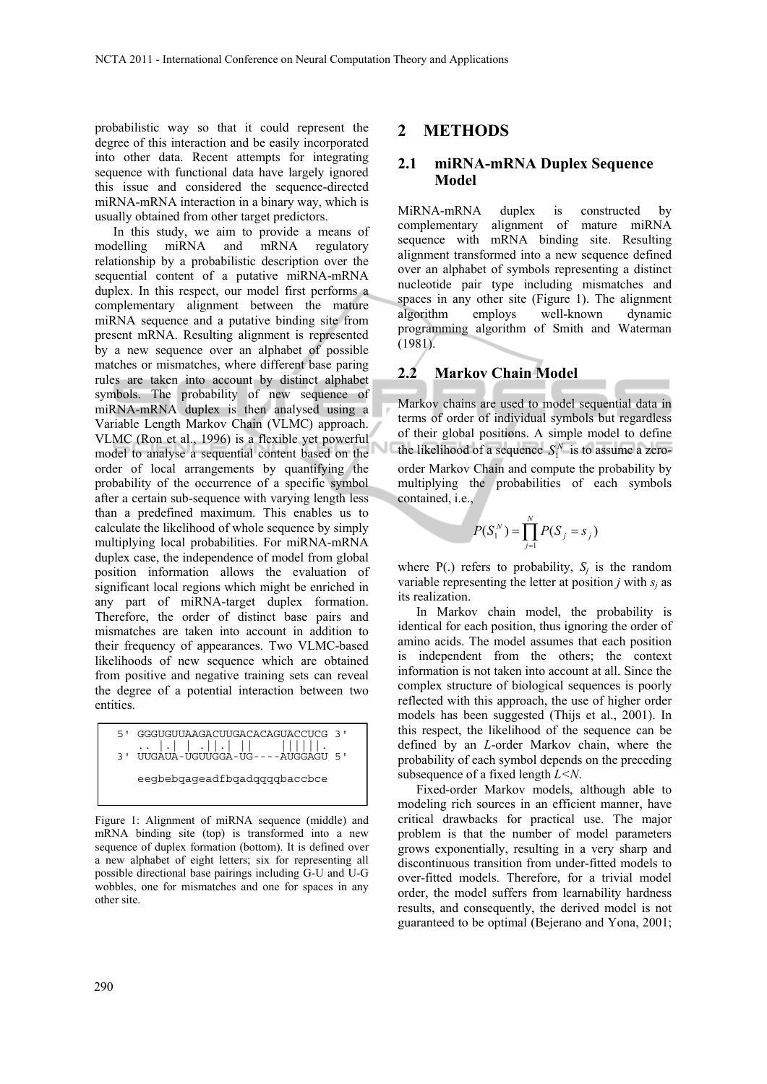probabilistic way so that it could represent the degree of this interaction and be easily incorporated into other data. Recent attempts for integrating sequence with functional data have largely ignored this issue and considered the sequence-directed miRNA-mRNA interaction in a binary way, which is usually obtained from other target predictors.

In this study, we aim to provide a means of modelling miRNA and mRNA regulatory relationship by a probabilistic description over the sequential content of a putative miRNA-mRNA duplex. In this respect, our model first performs a complementary alignment between the mature miRNA sequence and a putative binding site from present mRNA. Resulting alignment is represented by a new sequence over an alphabet of possible matches or mismatches, where different base paring rules are taken into account by distinct alphabet symbols. The probability of new sequence of miRNA-mRNA duplex is then analysed using a Variable Length Markov Chain (VLMC) approach. VLMC (Ron et al., 1996) is a flexible yet powerful model to analyse a sequential content based on the order of local arrangements by quantifying the probability of the occurrence of a specific symbol after a certain sub-sequence with varying length less than a predefined maximum. This enables us to calculate the likelihood of whole sequence by simply multiplying local probabilities. For miRNA-mRNA duplex case, the independence of model from global position information allows the evaluation of significant local regions which might be enriched in any part of miRNA-target duplex formation. Therefore, the order of distinct base pairs and mismatches are taken into account in addition to their frequency of appearances. Two VLMC-based likelihoods of new sequence which are obtained from positive and negative training sets can reveal the degree of a potential interaction between two entities.

5' GGGUGUUAAGACUUGACACAGUACCUCG 3' .. |.| | .||.| || ||||||. 3' UUGAUA-UGUUGGA-UG----AUGGAGU 5' eegbebqageadfbqadqqqqbaccbce

Figure 1: Alignment of miRNA sequence (middle) and mRNA binding site (top) is transformed into a new sequence of duplex formation (bottom). It is defined over a new alphabet of eight letters; six for representing all possible directional base pairings including G-U and U-G wobbles, one for mismatches and one for spaces in any other site.

## **2 METHODS**

## **2.1 miRNA-mRNA Duplex Sequence Model**

MiRNA-mRNA duplex is constructed by complementary alignment of mature miRNA sequence with mRNA binding site. Resulting alignment transformed into a new sequence defined over an alphabet of symbols representing a distinct nucleotide pair type including mismatches and spaces in any other site (Figure 1). The alignment algorithm employs well-known dynamic programming algorithm of Smith and Waterman (1981).

## **2.2 Markov Chain Model**

Markov chains are used to model sequential data in terms of order of individual symbols but regardless of their global positions. A simple model to define the likelihood of a sequence  $S_1^N$  is to assume a zeroorder Markov Chain and compute the probability by multiplying the probabilities of each symbols contained, i.e.,

$$
P(S_1^N) = \prod_{j=1}^N P(S_j = s_j)
$$

where  $P(.)$  refers to probability,  $S_i$  is the random variable representing the letter at position  $j$  with  $s_i$  as its realization.

In Markov chain model, the probability is identical for each position, thus ignoring the order of amino acids. The model assumes that each position is independent from the others; the context information is not taken into account at all. Since the complex structure of biological sequences is poorly reflected with this approach, the use of higher order models has been suggested (Thijs et al., 2001). In this respect, the likelihood of the sequence can be defined by an *L*-order Markov chain, where the probability of each symbol depends on the preceding subsequence of a fixed length *L<N*.

Fixed-order Markov models, although able to modeling rich sources in an efficient manner, have critical drawbacks for practical use. The major problem is that the number of model parameters grows exponentially, resulting in a very sharp and discontinuous transition from under-fitted models to over-fitted models. Therefore, for a trivial model order, the model suffers from learnability hardness results, and consequently, the derived model is not guaranteed to be optimal (Bejerano and Yona, 2001;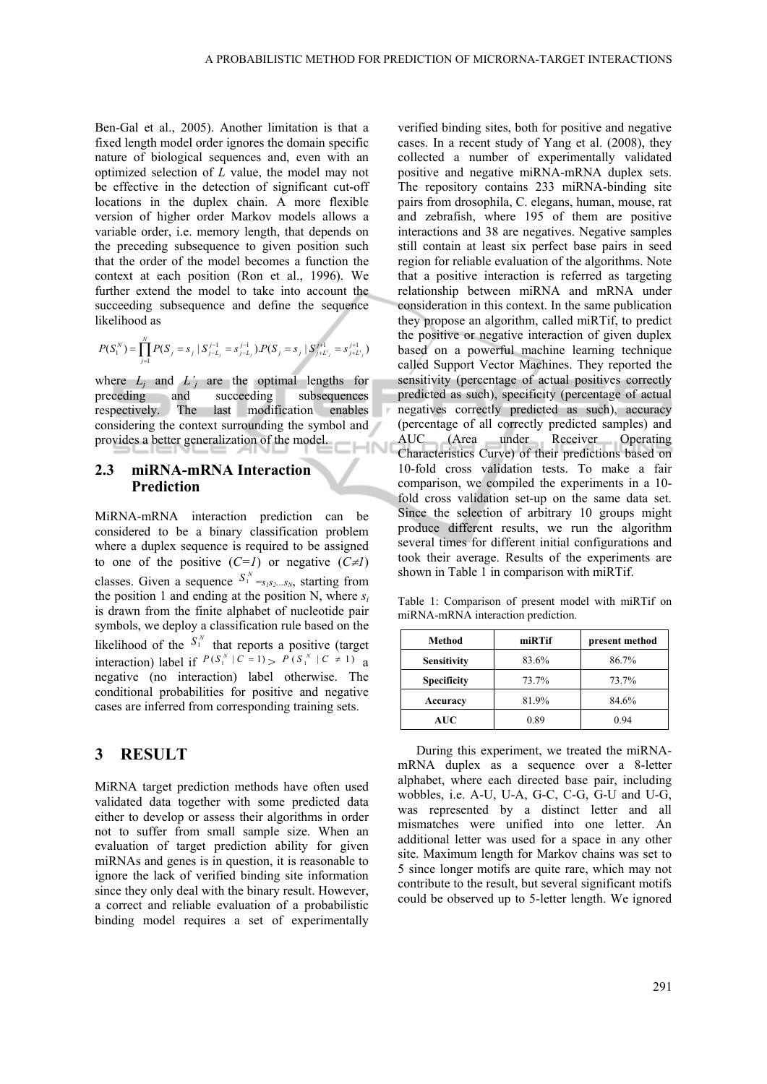Ben-Gal et al., 2005). Another limitation is that a fixed length model order ignores the domain specific nature of biological sequences and, even with an optimized selection of *L* value, the model may not be effective in the detection of significant cut-off locations in the duplex chain. A more flexible version of higher order Markov models allows a variable order, i.e. memory length, that depends on the preceding subsequence to given position such that the order of the model becomes a function the context at each position (Ron et al., 1996). We further extend the model to take into account the succeeding subsequence and define the sequence likelihood as

$$
P(S_i^N) = \prod_{j=1}^N P(S_j = s_j \mid S_{j-L_j}^{j-1} = s_{j-L_j}^{j-1}) . P(S_j = s_j \mid S_{j+L_j}^{j+1} = s_{j+L_j}^{j+1})
$$

where  $L_i$  and  $L'_i$  are the optimal lengths for preceding and succeeding subsequences respectively. The last modification enables considering the context surrounding the symbol and provides a better generalization of the model.  $\overline{\mathsf{M}}$ 

#### **2.3 miRNA-mRNA Interaction Prediction**

MiRNA-mRNA interaction prediction can be considered to be a binary classification problem where a duplex sequence is required to be assigned to one of the positive  $(C=1)$  or negative  $(C\neq I)$ classes. Given a sequence  $S_1^N = S_1 S_2... S_N$ , starting from the position 1 and ending at the position N, where  $s_i$ is drawn from the finite alphabet of nucleotide pair symbols, we deploy a classification rule based on the likelihood of the  $S_1^N$  that reports a positive (target interaction) label if  $P(S_1^N | C = 1) > P(S_1^N | C \neq 1)$  a negative (no interaction) label otherwise. The conditional probabilities for positive and negative cases are inferred from corresponding training sets.

## **3 RESULT**

MiRNA target prediction methods have often used validated data together with some predicted data either to develop or assess their algorithms in order not to suffer from small sample size. When an evaluation of target prediction ability for given miRNAs and genes is in question, it is reasonable to ignore the lack of verified binding site information since they only deal with the binary result. However, a correct and reliable evaluation of a probabilistic binding model requires a set of experimentally

verified binding sites, both for positive and negative cases. In a recent study of Yang et al. (2008), they collected a number of experimentally validated positive and negative miRNA-mRNA duplex sets. The repository contains 233 miRNA-binding site pairs from drosophila, C. elegans, human, mouse, rat and zebrafish, where 195 of them are positive interactions and 38 are negatives. Negative samples still contain at least six perfect base pairs in seed region for reliable evaluation of the algorithms. Note that a positive interaction is referred as targeting relationship between miRNA and mRNA under consideration in this context. In the same publication they propose an algorithm, called miRTif, to predict the positive or negative interaction of given duplex based on a powerful machine learning technique called Support Vector Machines. They reported the sensitivity (percentage of actual positives correctly predicted as such), specificity (percentage of actual negatives correctly predicted as such), accuracy (percentage of all correctly predicted samples) and AUC (Area under Receiver Operating Characteristics Curve) of their predictions based on 10-fold cross validation tests. To make a fair comparison, we compiled the experiments in a 10 fold cross validation set-up on the same data set. Since the selection of arbitrary 10 groups might produce different results, we run the algorithm several times for different initial configurations and took their average. Results of the experiments are shown in Table  $1$  in comparison with miRTif.

Table 1: Comparison of present model with miRTif on miRNA-mRNA interaction prediction.

| Method             | miRTif | present method |
|--------------------|--------|----------------|
| <b>Sensitivity</b> | 83.6%  | 86.7%          |
| <b>Specificity</b> | 73.7%  | 73.7%          |
| Accuracy           | 81.9%  | 84.6%          |
| <b>AUC</b>         | 0.89   | 0.94           |

During this experiment, we treated the miRNAmRNA duplex as a sequence over a 8-letter alphabet, where each directed base pair, including wobbles, i.e. A-U, U-A, G-C, C-G, G-U and U-G, was represented by a distinct letter and all mismatches were unified into one letter. An additional letter was used for a space in any other site. Maximum length for Markov chains was set to 5 since longer motifs are quite rare, which may not contribute to the result, but several significant motifs could be observed up to 5-letter length. We ignored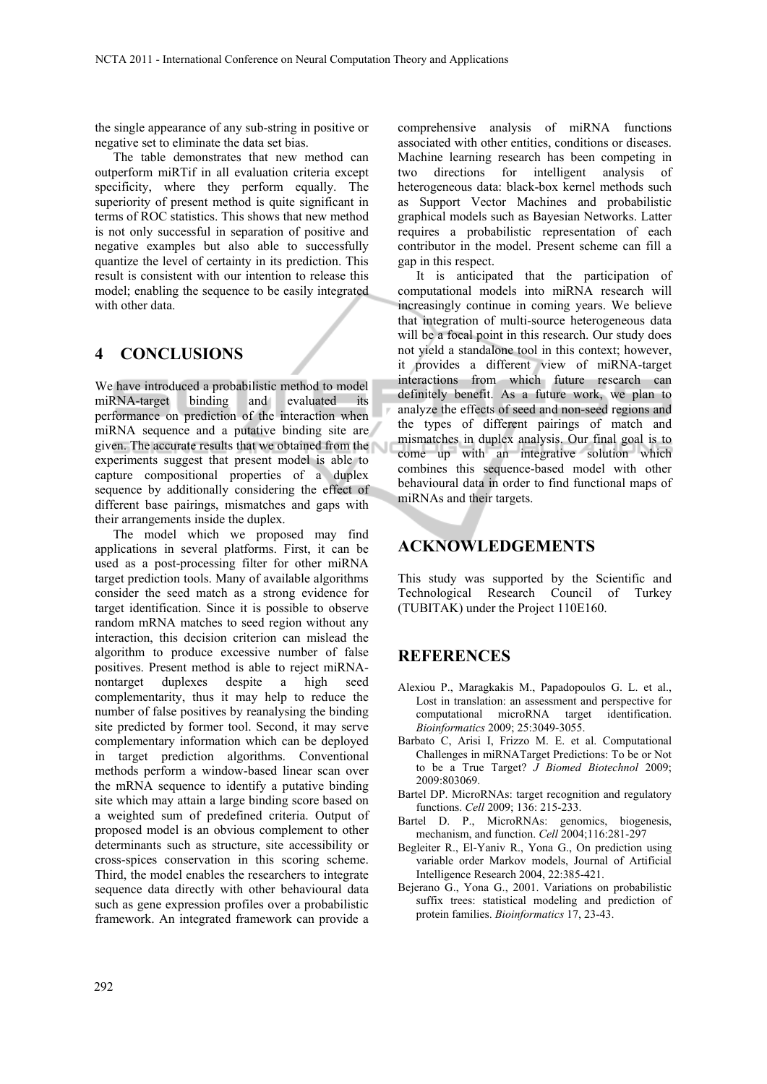the single appearance of any sub-string in positive or negative set to eliminate the data set bias.

The table demonstrates that new method can outperform miRTif in all evaluation criteria except specificity, where they perform equally. The superiority of present method is quite significant in terms of ROC statistics. This shows that new method is not only successful in separation of positive and negative examples but also able to successfully quantize the level of certainty in its prediction. This result is consistent with our intention to release this model; enabling the sequence to be easily integrated with other data.

# **4 CONCLUSIONS**

We have introduced a probabilistic method to model miRNA-target binding and evaluated its performance on prediction of the interaction when miRNA sequence and a putative binding site are given. The accurate results that we obtained from the experiments suggest that present model is able to capture compositional properties of a duplex sequence by additionally considering the effect of different base pairings, mismatches and gaps with their arrangements inside the duplex.

The model which we proposed may find applications in several platforms. First, it can be used as a post-processing filter for other miRNA target prediction tools. Many of available algorithms consider the seed match as a strong evidence for target identification. Since it is possible to observe random mRNA matches to seed region without any interaction, this decision criterion can mislead the algorithm to produce excessive number of false positives. Present method is able to reject miRNAnontarget duplexes despite a high seed complementarity, thus it may help to reduce the number of false positives by reanalysing the binding site predicted by former tool. Second, it may serve complementary information which can be deployed in target prediction algorithms. Conventional methods perform a window-based linear scan over the mRNA sequence to identify a putative binding site which may attain a large binding score based on a weighted sum of predefined criteria. Output of proposed model is an obvious complement to other determinants such as structure, site accessibility or cross-spices conservation in this scoring scheme. Third, the model enables the researchers to integrate sequence data directly with other behavioural data such as gene expression profiles over a probabilistic framework. An integrated framework can provide a

comprehensive analysis of miRNA functions associated with other entities, conditions or diseases. Machine learning research has been competing in two directions for intelligent analysis of heterogeneous data: black-box kernel methods such as Support Vector Machines and probabilistic graphical models such as Bayesian Networks. Latter requires a probabilistic representation of each contributor in the model. Present scheme can fill a gap in this respect.

It is anticipated that the participation of computational models into miRNA research will increasingly continue in coming years. We believe that integration of multi-source heterogeneous data will be a focal point in this research. Our study does not yield a standalone tool in this context; however, it provides a different view of miRNA-target interactions from which future research can definitely benefit. As a future work, we plan to analyze the effects of seed and non-seed regions and the types of different pairings of match and mismatches in duplex analysis. Our final goal is to come up with an integrative solution which combines this sequence-based model with other behavioural data in order to find functional maps of miRNAs and their targets.

## **ACKNOWLEDGEMENTS**

This study was supported by the Scientific and Technological Research Council of Turkey (TUBITAK) under the Project 110E160.

#### **REFERENCES**

- Alexiou P., Maragkakis M., Papadopoulos G. L. et al., Lost in translation: an assessment and perspective for computational microRNA target identification. *Bioinformatics* 2009; 25:3049-3055.
- Barbato C, Arisi I, Frizzo M. E. et al. Computational Challenges in miRNATarget Predictions: To be or Not to be a True Target? *J Biomed Biotechnol* 2009; 2009:803069.
- Bartel DP. MicroRNAs: target recognition and regulatory functions. *Cell* 2009; 136: 215-233.
- Bartel D. P., MicroRNAs: genomics, biogenesis, mechanism, and function. *Cell* 2004;116:281-297
- Begleiter R., El-Yaniv R., Yona G., On prediction using variable order Markov models, Journal of Artificial Intelligence Research 2004, 22:385-421.
- Bejerano G., Yona G., 2001. Variations on probabilistic suffix trees: statistical modeling and prediction of protein families. *Bioinformatics* 17, 23-43.